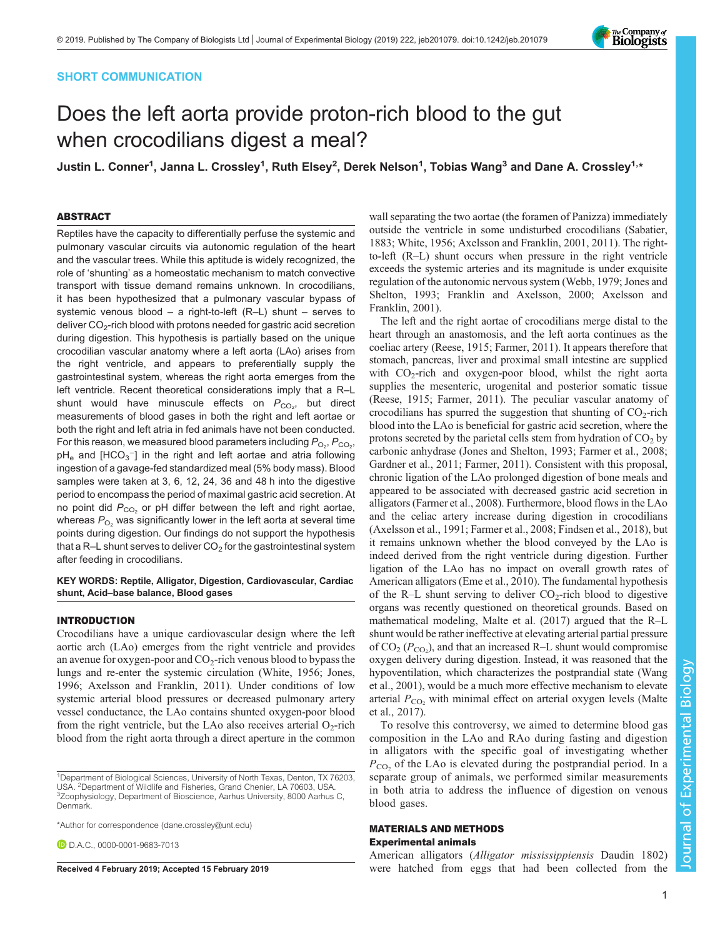# SHORT COMMUNICATION

# Does the left aorta provide proton-rich blood to the gut when crocodilians digest a meal?

Justin L. Conner<sup>1</sup>, Janna L. Crossley<sup>1</sup>, Ruth Elsey<sup>2</sup>, Derek Nelson<sup>1</sup>, Tobias Wang<sup>3</sup> and Dane A. Crossley<sup>1,</sup>\*

# ABSTRACT

Reptiles have the capacity to differentially perfuse the systemic and pulmonary vascular circuits via autonomic regulation of the heart and the vascular trees. While this aptitude is widely recognized, the role of 'shunting' as a homeostatic mechanism to match convective transport with tissue demand remains unknown. In crocodilians, it has been hypothesized that a pulmonary vascular bypass of systemic venous blood – a right-to-left (R–L) shunt – serves to deliver  $CO<sub>2</sub>$ -rich blood with protons needed for gastric acid secretion during digestion. This hypothesis is partially based on the unique crocodilian vascular anatomy where a left aorta (LAo) arises from the right ventricle, and appears to preferentially supply the gastrointestinal system, whereas the right aorta emerges from the left ventricle. Recent theoretical considerations imply that a R–L shunt would have minuscule effects on  $P_{CO_2}$ , but direct measurements of blood gases in both the right and left aortae or both the right and left atria in fed animals have not been conducted. For this reason, we measured blood parameters including  $P_{\text{O}_2}$ ,  $P_{\text{CO}_2}$ ,  $pH_e$  and  $[HCO_3^-]$  in the right and left aortae and atria following ingestion of a gavage-fed standardized meal (5% body mass). Blood samples were taken at 3, 6, 12, 24, 36 and 48 h into the digestive period to encompass the period of maximal gastric acid secretion. At no point did  $P_{CO_2}$  or pH differ between the left and right aortae, whereas  $P_{O_2}$  was significantly lower in the left aorta at several time points during digestion. Our findings do not support the hypothesis that a R–L shunt serves to deliver  $CO<sub>2</sub>$  for the gastrointestinal system after feeding in crocodilians.

# KEY WORDS: Reptile, Alligator, Digestion, Cardiovascular, Cardiac shunt, Acid–base balance, Blood gases

### INTRODUCTION

Crocodilians have a unique cardiovascular design where the left aortic arch (LAo) emerges from the right ventricle and provides an avenue for oxygen-poor and  $CO<sub>2</sub>$ -rich venous blood to bypass the lungs and re-enter the systemic circulation ([White, 1956; Jones,](#page-4-0) [1996](#page-4-0); [Axelsson and Franklin, 2011\)](#page-4-0). Under conditions of low systemic arterial blood pressures or decreased pulmonary artery vessel conductance, the LAo contains shunted oxygen-poor blood from the right ventricle, but the LAo also receives arterial  $O<sub>2</sub>$ -rich blood from the right aorta through a direct aperture in the common

\*Author for correspondence [\(dane.crossley@unt.edu\)](mailto:dane.crossley@unt.edu)

**D.D.A.C., [0000-0001-9683-7013](http://orcid.org/0000-0001-9683-7013)** 

wall separating the two aortae (the foramen of Panizza) immediately outside the ventricle in some undisturbed crocodilians [\(Sabatier,](#page-4-0) [1883; White, 1956](#page-4-0); [Axelsson and Franklin, 2001](#page-4-0), [2011\)](#page-4-0). The rightto-left (R–L) shunt occurs when pressure in the right ventricle exceeds the systemic arteries and its magnitude is under exquisite regulation of the autonomic nervous system ([Webb, 1979](#page-4-0); [Jones and](#page-4-0) [Shelton, 1993; Franklin and Axelsson, 2000](#page-4-0); [Axelsson and](#page-4-0) [Franklin, 2001\)](#page-4-0).

The left and the right aortae of crocodilians merge distal to the heart through an anastomosis, and the left aorta continues as the coeliac artery ([Reese, 1915](#page-4-0); [Farmer, 2011\)](#page-4-0). It appears therefore that stomach, pancreas, liver and proximal small intestine are supplied with  $CO_2$ -rich and oxygen-poor blood, whilst the right aorta supplies the mesenteric, urogenital and posterior somatic tissue [\(Reese, 1915; Farmer, 2011\)](#page-4-0). The peculiar vascular anatomy of crocodilians has spurred the suggestion that shunting of  $CO<sub>2</sub>$ -rich blood into the LAo is beneficial for gastric acid secretion, where the protons secreted by the parietal cells stem from hydration of  $CO<sub>2</sub>$  by carbonic anhydrase ([Jones and Shelton, 1993](#page-4-0); [Farmer et al., 2008](#page-4-0); [Gardner et al., 2011; Farmer, 2011\)](#page-4-0). Consistent with this proposal, chronic ligation of the LAo prolonged digestion of bone meals and appeared to be associated with decreased gastric acid secretion in alligators [\(Farmer et al., 2008\)](#page-4-0). Furthermore, blood flows in the LAo and the celiac artery increase during digestion in crocodilians [\(Axelsson et al., 1991](#page-4-0); [Farmer et al., 2008](#page-4-0); [Findsen et al., 2018\)](#page-4-0), but it remains unknown whether the blood conveyed by the LAo is indeed derived from the right ventricle during digestion. Further ligation of the LAo has no impact on overall growth rates of American alligators ([Eme et al., 2010\)](#page-4-0). The fundamental hypothesis of the R–L shunt serving to deliver  $CO<sub>2</sub>$ -rich blood to digestive organs was recently questioned on theoretical grounds. Based on mathematical modeling, [Malte et al. \(2017\)](#page-4-0) argued that the R–L shunt would be rather ineffective at elevating arterial partial pressure of  $CO_2$  ( $P_{CO_2}$ ), and that an increased R-L shunt would compromise oxygen delivery during digestion. Instead, it was reasoned that the hypoventilation, which characterizes the postprandial state ([Wang](#page-4-0) [et al., 2001](#page-4-0)), would be a much more effective mechanism to elevate arterial  $P_{\rm CO}$ , with minimal effect on arterial oxygen levels [\(Malte](#page-4-0) [et al., 2017\)](#page-4-0).

To resolve this controversy, we aimed to determine blood gas composition in the LAo and RAo during fasting and digestion in alligators with the specific goal of investigating whether  $P_{\text{CO}}$ , of the LAo is elevated during the postprandial period. In a separate group of animals, we performed similar measurements in both atria to address the influence of digestion on venous blood gases.

# MATERIALS AND METHODS Experimental animals

American alligators (Alligator mississippiensis Daudin 1802) Received 4 February 2019; Accepted 15 February 2019 were hatched from eggs that had been collected from the



<sup>&</sup>lt;sup>1</sup>Department of Biological Sciences, University of North Texas, Denton, TX 76203, USA. <sup>2</sup>Department of Wildlife and Fisheries, Grand Chenier, LA 70603, USA.<br><sup>3</sup>Zoophysiology, Department of Bioscience, Aarhus University, 8000 Aarhus. <sup>3</sup>Zoophysiology, Department of Bioscience, Aarhus University, 8000 Aarhus C, Denmark.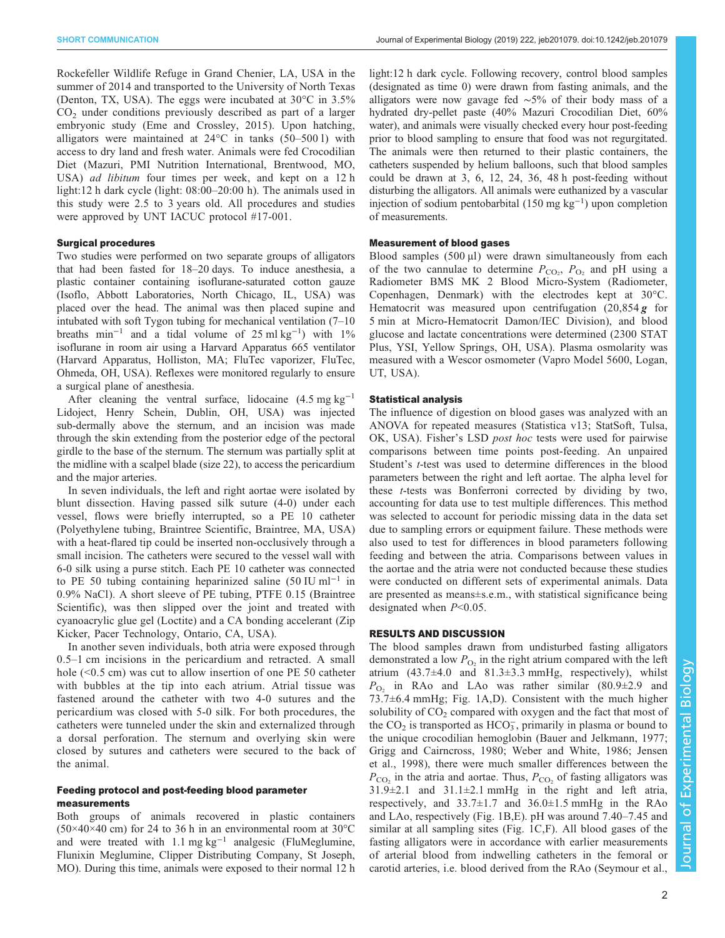Rockefeller Wildlife Refuge in Grand Chenier, LA, USA in the summer of 2014 and transported to the University of North Texas (Denton, TX, USA). The eggs were incubated at 30°C in 3.5%  $CO<sub>2</sub>$  under conditions previously described as part of a larger embryonic study ([Eme and Crossley, 2015\)](#page-4-0). Upon hatching, alligators were maintained at 24°C in tanks (50–500 l) with access to dry land and fresh water. Animals were fed Crocodilian Diet (Mazuri, PMI Nutrition International, Brentwood, MO, USA) ad libitum four times per week, and kept on a 12 h light:12 h dark cycle (light: 08:00–20:00 h). The animals used in this study were 2.5 to 3 years old. All procedures and studies were approved by UNT IACUC protocol #17-001.

### Surgical procedures

Two studies were performed on two separate groups of alligators that had been fasted for 18–20 days. To induce anesthesia, a plastic container containing isoflurane-saturated cotton gauze (Isoflo, Abbott Laboratories, North Chicago, IL, USA) was placed over the head. The animal was then placed supine and intubated with soft Tygon tubing for mechanical ventilation (7–10 breaths min<sup>-1</sup> and a tidal volume of 25 ml kg<sup>-1</sup>) with 1% isoflurane in room air using a Harvard Apparatus 665 ventilator (Harvard Apparatus, Holliston, MA; FluTec vaporizer, FluTec, Ohmeda, OH, USA). Reflexes were monitored regularly to ensure a surgical plane of anesthesia.

After cleaning the ventral surface, lidocaine  $(4.5 \text{ mg kg}^{-1})$ Lidoject, Henry Schein, Dublin, OH, USA) was injected sub-dermally above the sternum, and an incision was made through the skin extending from the posterior edge of the pectoral girdle to the base of the sternum. The sternum was partially split at the midline with a scalpel blade (size 22), to access the pericardium and the major arteries.

In seven individuals, the left and right aortae were isolated by blunt dissection. Having passed silk suture (4-0) under each vessel, flows were briefly interrupted, so a PE 10 catheter (Polyethylene tubing, Braintree Scientific, Braintree, MA, USA) with a heat-flared tip could be inserted non-occlusively through a small incision. The catheters were secured to the vessel wall with 6-0 silk using a purse stitch. Each PE 10 catheter was connected to PE 50 tubing containing heparinized saline (50 IU ml<sup>-1</sup> in 0.9% NaCl). A short sleeve of PE tubing, PTFE 0.15 (Braintree Scientific), was then slipped over the joint and treated with cyanoacrylic glue gel (Loctite) and a CA bonding accelerant (Zip Kicker, Pacer Technology, Ontario, CA, USA).

In another seven individuals, both atria were exposed through 0.5–1 cm incisions in the pericardium and retracted. A small hole (<0.5 cm) was cut to allow insertion of one PE 50 catheter with bubbles at the tip into each atrium. Atrial tissue was fastened around the catheter with two 4-0 sutures and the pericardium was closed with 5-0 silk. For both procedures, the catheters were tunneled under the skin and externalized through a dorsal perforation. The sternum and overlying skin were closed by sutures and catheters were secured to the back of the animal.

# Feeding protocol and post-feeding blood parameter measurements

Both groups of animals recovered in plastic containers  $(50\times40\times40$  cm) for 24 to 36 h in an environmental room at 30°C and were treated with 1.1 mg  $kg^{-1}$  analgesic (FluMeglumine, Flunixin Meglumine, Clipper Distributing Company, St Joseph, MO). During this time, animals were exposed to their normal 12 h light:12 h dark cycle. Following recovery, control blood samples (designated as time 0) were drawn from fasting animals, and the alligators were now gavage fed ∼5% of their body mass of a hydrated dry-pellet paste (40% Mazuri Crocodilian Diet, 60% water), and animals were visually checked every hour post-feeding prior to blood sampling to ensure that food was not regurgitated. The animals were then returned to their plastic containers, the catheters suspended by helium balloons, such that blood samples could be drawn at 3, 6, 12, 24, 36, 48 h post-feeding without disturbing the alligators. All animals were euthanized by a vascular injection of sodium pentobarbital (150 mg kg−<sup>1</sup> ) upon completion of measurements.

### Measurement of blood gases

Blood samples (500 µl) were drawn simultaneously from each of the two cannulae to determine  $P_{\text{CO}_2}$ ,  $P_{\text{O}_2}$  and pH using a Radiometer BMS MK 2 Blood Micro-System (Radiometer, Copenhagen, Denmark) with the electrodes kept at 30°C. Hematocrit was measured upon centrifugation  $(20,854g)$  for 5 min at Micro-Hematocrit Damon/IEC Division), and blood glucose and lactate concentrations were determined (2300 STAT Plus, YSI, Yellow Springs, OH, USA). Plasma osmolarity was measured with a Wescor osmometer (Vapro Model 5600, Logan, UT, USA).

## Statistical analysis

The influence of digestion on blood gases was analyzed with an ANOVA for repeated measures (Statistica v13; StatSoft, Tulsa, OK, USA). Fisher's LSD post hoc tests were used for pairwise comparisons between time points post-feeding. An unpaired Student's t-test was used to determine differences in the blood parameters between the right and left aortae. The alpha level for these t-tests was Bonferroni corrected by dividing by two, accounting for data use to test multiple differences. This method was selected to account for periodic missing data in the data set due to sampling errors or equipment failure. These methods were also used to test for differences in blood parameters following feeding and between the atria. Comparisons between values in the aortae and the atria were not conducted because these studies were conducted on different sets of experimental animals. Data are presented as means±s.e.m., with statistical significance being designated when  $P<0.05$ .

### RESULTS AND DISCUSSION

The blood samples drawn from undisturbed fasting alligators demonstrated a low  $P_{\text{O}_2}$  in the right atrium compared with the left atrium  $(43.7\pm4.0$  and  $81.3\pm3.3$  mmHg, respectively), whilst  $P_{\text{O}_2}$  in RAo and LAo was rather similar (80.9 $\pm$ 2.9 and 73.7±6.4 mmHg; [Fig. 1A](#page-2-0),D). Consistent with the much higher solubility of  $CO<sub>2</sub>$  compared with oxygen and the fact that most of the  $CO<sub>2</sub>$  is transported as  $HCO<sub>3</sub>$ , primarily in plasma or bound to the unique crocodilian hemoglobin ([Bauer and Jelkmann, 1977](#page-4-0); [Grigg and Cairncross, 1980](#page-4-0); [Weber and White, 1986; Jensen](#page-4-0) [et al., 1998](#page-4-0)), there were much smaller differences between the  $P_{\rm CO}$ , in the atria and aortae. Thus,  $P_{\rm CO}$  of fasting alligators was  $31.9\pm2.1$  and  $31.1\pm2.1$  mmHg in the right and left atria, respectively, and  $33.7\pm1.7$  and  $36.0\pm1.5$  mmHg in the RAo and LAo, respectively ([Fig. 1](#page-2-0)B,E). pH was around 7.40–7.45 and similar at all sampling sites ([Fig. 1C](#page-2-0),F). All blood gases of the fasting alligators were in accordance with earlier measurements of arterial blood from indwelling catheters in the femoral or carotid arteries, i.e. blood derived from the RAo [\(Seymour et al.,](#page-4-0)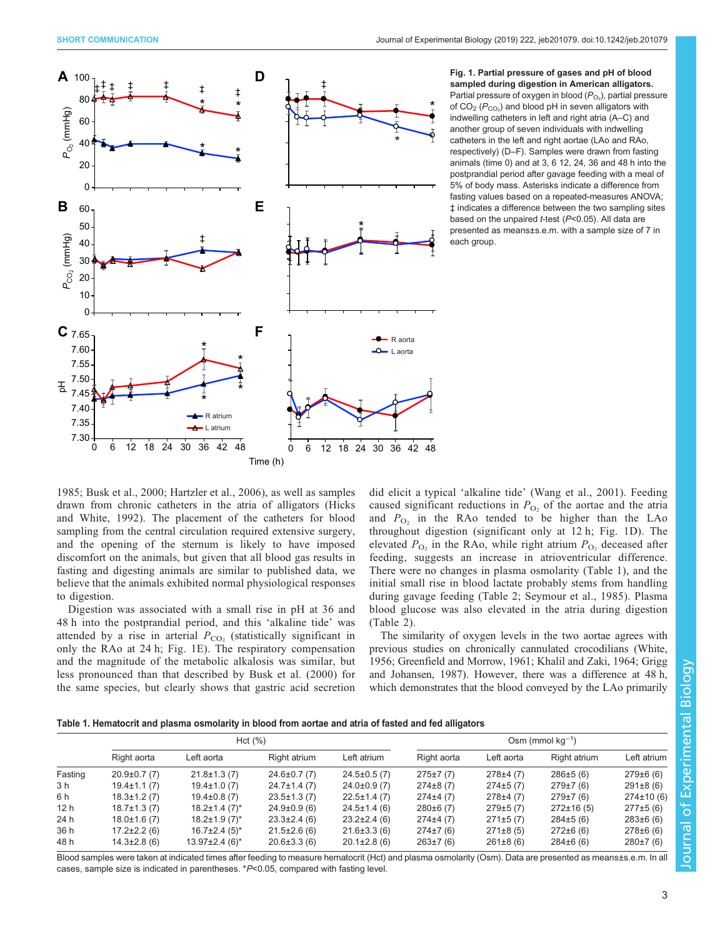<span id="page-2-0"></span>

Fig. 1. Partial pressure of gases and pH of blood sampled during digestion in American alligators. Partial pressure of oxygen in blood ( $P_{\mathrm{O}_2}$ ), partial pressure of CO $_{2}$  ( $P_{\rm CO_{2}}$ ) and blood pH in seven alligators with indwelling catheters in left and right atria (A–C) and another group of seven individuals with indwelling catheters in the left and right aortae (LAo and RAo, respectively) (D–F). Samples were drawn from fasting animals (time 0) and at 3, 6 12, 24, 36 and 48 h into the postprandial period after gavage feeding with a meal of 5% of body mass. Asterisks indicate a difference from fasting values based on a repeated-measures ANOVA; ‡ indicates a difference between the two sampling sites based on the unpaired *t*-test (P<0.05). All data are presented as means±s.e.m. with a sample size of 7 in each group.

[1985](#page-4-0); [Busk et al., 2000](#page-4-0); [Hartzler et al., 2006\)](#page-4-0), as well as samples drawn from chronic catheters in the atria of alligators ([Hicks](#page-4-0) [and White, 1992](#page-4-0)). The placement of the catheters for blood sampling from the central circulation required extensive surgery, and the opening of the sternum is likely to have imposed discomfort on the animals, but given that all blood gas results in fasting and digesting animals are similar to published data, we believe that the animals exhibited normal physiological responses to digestion.

Digestion was associated with a small rise in pH at 36 and 48 h into the postprandial period, and this 'alkaline tide' was attended by a rise in arterial  $P_{CO_2}$  (statistically significant in only the RAo at 24 h; Fig. 1E). The respiratory compensation and the magnitude of the metabolic alkalosis was similar, but less pronounced than that described by [Busk et al. \(2000\)](#page-4-0) for the same species, but clearly shows that gastric acid secretion did elicit a typical 'alkaline tide' [\(Wang et al., 2001\)](#page-4-0). Feeding caused significant reductions in  $P_{\text{O}_2}$  of the aortae and the atria and  $P_{\text{O}_2}$  in the RAo tended to be higher than the LAo throughout digestion (significant only at 12 h; Fig. 1D). The elevated  $P_{\text{O}_2}$  in the RAo, while right atrium  $P_{\text{O}_2}$  deceased after feeding, suggests an increase in atrioventricular difference. There were no changes in plasma osmolarity (Table 1), and the initial small rise in blood lactate probably stems from handling during gavage feeding [\(Table 2;](#page-3-0) [Seymour et al., 1985](#page-4-0)). Plasma blood glucose was also elevated in the atria during digestion [\(Table 2\)](#page-3-0).

The similarity of oxygen levels in the two aortae agrees with previous studies on chronically cannulated crocodilians ([White,](#page-4-0) [1956; Greenfield and Morrow, 1961; Khalil and Zaki, 1964; Grigg](#page-4-0) [and Johansen, 1987\)](#page-4-0). However, there was a difference at 48 h, which demonstrates that the blood conveyed by the LAo primarily

|  |  | Table 1. Hematocrit and plasma osmolarity in blood from aortae and atria of fasted and fed alligators |  |  |
|--|--|-------------------------------------------------------------------------------------------------------|--|--|
|--|--|-------------------------------------------------------------------------------------------------------|--|--|

|         |                    | Hct(%)                          | Osm (mmol $kq^{-1}$ ) |                    |                |              |                 |                 |  |
|---------|--------------------|---------------------------------|-----------------------|--------------------|----------------|--------------|-----------------|-----------------|--|
|         | Right aorta        | Left aorta                      | Right atrium          | Left atrium        | Right aorta    | Left aorta   | Right atrium    | Left atrium     |  |
| Fasting | $20.9 \pm 0.7(7)$  | $21.8 \pm 1.3(7)$               | $24.6 \pm 0.7(7)$     | $24.5 \pm 0.5$ (7) | $275 \pm 7(7)$ | 278±4(7)     | 286±5(6)        | 279±6(6)        |  |
| 3 h     | $19.4 \pm 1.1(7)$  | $19.4 \pm 1.0(7)$               | $24.7 \pm 1.4(7)$     | $24.0 \pm 0.9$ (7) | $274\pm8(7)$   | 274±5(7)     | 279±7(6)        | $291\pm8(6)$    |  |
| 6 h     | $18.3 \pm 1.2(7)$  | $19.4\pm0.8(7)$                 | $23.5 \pm 1.3(7)$     | $22.5 \pm 1.4$ (7) | $274\pm4(7)$   | 278±4(7)     | 279±7(6)        | $274 \pm 10(6)$ |  |
| 12h     | $18.7 \pm 1.3(7)$  | $18.2 \pm 1.4$ (7) <sup>*</sup> | $24.9 \pm 0.9$ (6)    | $24.5 \pm 1.4$ (6) | 280±6(7)       | 279±5(7)     | $272 \pm 16(5)$ | 277±5(6)        |  |
| 24 h    | $18.0 \pm 1.6$ (7) | $18.2 \pm 1.9(7)^*$             | $23.3 \pm 2.4$ (6)    | $23.2 \pm 2.4$ (6) | 274±4 (7)      | 271±5(7)     | $284 \pm 5(6)$  | $283\pm 6(6)$   |  |
| 36 h    | $17.2 \pm 2.2$ (6) | $16.7\pm2.4(5)^{*}$             | $21.5 \pm 2.6$ (6)    | $21.6 \pm 3.3(6)$  | $274 \pm 7(6)$ | $271\pm8(5)$ | $272\pm 6(6)$   | $278 \pm 6(6)$  |  |
| 48 h    | $14.3 \pm 2.8$ (6) | $13.97 \pm 2.4$ (6)*            | $20.6 \pm 3.3(6)$     | $20.1 \pm 2.8$ (6) | $263 \pm 7(6)$ | $261\pm8(6)$ | 284±6(6)        | 280±7(6)        |  |

Blood samples were taken at indicated times after feeding to measure hematocrit (Hct) and plasma osmolarity (Osm). Data are presented as means±s.e.m. In all cases, sample size is indicated in parentheses. \*P<0.05, compared with fasting level.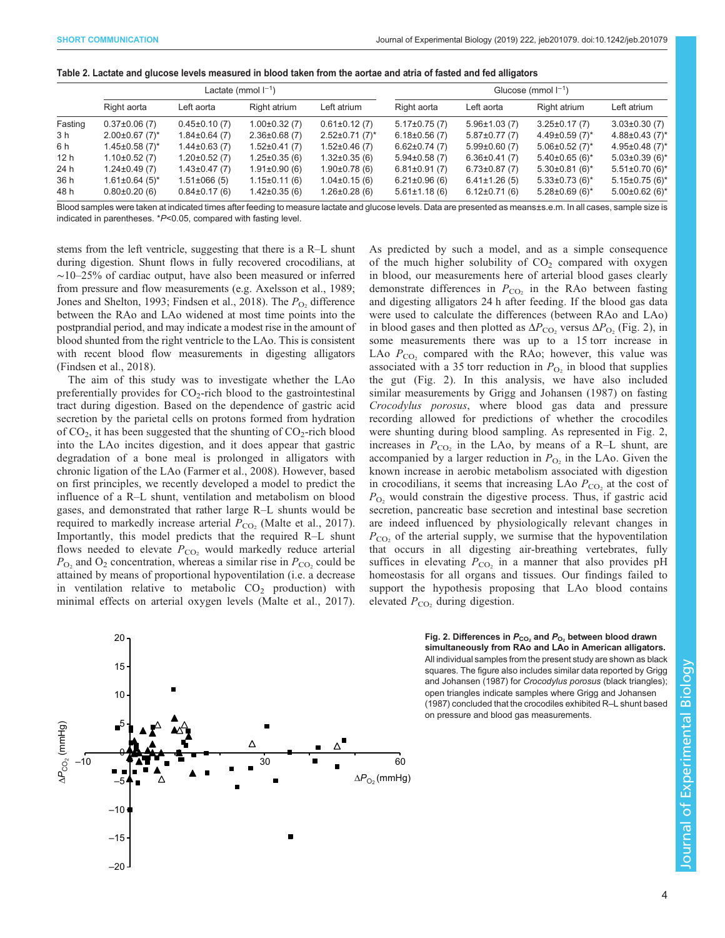|         |                                  |                     | Lactate (mmol $I^{-1}$ ) |                      | Glucose (mmol $I^{-1}$ ) |                     |                      |                    |  |  |  |
|---------|----------------------------------|---------------------|--------------------------|----------------------|--------------------------|---------------------|----------------------|--------------------|--|--|--|
|         | Right aorta                      | Left aorta          | Right atrium             | Left atrium          | Right aorta              | Left aorta          | Right atrium         | Left atrium        |  |  |  |
| Fasting | $0.37\pm0.06(7)$                 | $0.45\pm0.10(7)$    | $1.00\pm0.32(7)$         | $0.61 \pm 0.12$ (7)  | $5.17\pm0.75(7)$         | $5.96 \pm 1.03(7)$  | $3.25 \pm 0.17(7)$   | $3.03\pm0.30(7)$   |  |  |  |
| 3 h     | $2.00\pm0.67$ (7)*               | $1.84\pm0.64(7)$    | $2.36\pm0.68(7)$         | $2.52 \pm 0.71(7)^*$ | $6.18\pm0.56(7)$         | $5.87 \pm 0.77$ (7) | $4.49\pm0.59(7)$ *   | $4.88\pm0.43(7)$ * |  |  |  |
| 6 h     | $1.45 \pm 0.58$ (7) <sup>*</sup> | $1.44\pm0.63(7)$    | $1.52 \pm 0.41(7)$       | $1.52 \pm 0.46$ (7)  | $6.62 \pm 0.74(7)$       | $5.99\pm0.60(7)$    | $5.06 \pm 0.52$ (7)* | $4.95\pm0.48(7)$ * |  |  |  |
| 12h     | $1.10\pm0.52(7)$                 | $1.20 \pm 0.52$ (7) | $1.25 \pm 0.35(6)$       | $1.32\pm0.35(6)$     | $5.94\pm0.58(7)$         | $6.36 \pm 0.41(7)$  | $5.40\pm0.65(6)^*$   | $5.03\pm0.39(6)$ * |  |  |  |
| 24 h    | $1.24 \pm 0.49(7)$               | $1.43\pm0.47(7)$    | $1.91 \pm 0.90$ (6)      | $1.90 \pm 0.78$ (6)  | $6.81 \pm 0.91(7)$       | $6.73 \pm 0.87$ (7) | $5.30\pm0.81(6)^*$   | $5.51\pm0.70(6)$ * |  |  |  |

<span id="page-3-0"></span>

| Table 2. Lactate and glucose levels measured in blood taken from the aortae and atria of fasted and fed alligators |  |  |  |  |  |  |  |
|--------------------------------------------------------------------------------------------------------------------|--|--|--|--|--|--|--|
|                                                                                                                    |  |  |  |  |  |  |  |
|                                                                                                                    |  |  |  |  |  |  |  |
|                                                                                                                    |  |  |  |  |  |  |  |

48 h 0.80±0.20 (6) 0.84±0.17 (6) 1.42±0.35 (6) 1.26±0.28 (6) 5.61±1.18 (6) 6.12±0.71 (6) 5.28±0.69 (6)\* 5.00±0.62 (6)\* Blood samples were taken at indicated times after feeding to measure lactate and glucose levels. Data are presented as means±s.e.m. In all cases, sample size is indicated in parentheses. \*P<0.05, compared with fasting level.

36 h 1.61±0.64 (5)\* 1.51±066 (5) 1.15±0.11 (6) 1.04±0.15 (6) 6.21±0.96 (6) 6.41±1.26 (5) 5.33±0.73 (6)\* 5.15±0.75 (6)\*

stems from the left ventricle, suggesting that there is a R–L shunt during digestion. Shunt flows in fully recovered crocodilians, at ∼10–25% of cardiac output, have also been measured or inferred from pressure and flow measurements (e.g. [Axelsson et al., 1989](#page-4-0); [Jones and Shelton, 1993; Findsen et al., 2018](#page-4-0)). The  $P_{\text{O}_2}$  difference between the RAo and LAo widened at most time points into the postprandial period, and may indicate a modest rise in the amount of blood shunted from the right ventricle to the LAo. This is consistent with recent blood flow measurements in digesting alligators [\(Findsen et al., 2018](#page-4-0)).

The aim of this study was to investigate whether the LAo preferentially provides for  $CO<sub>2</sub>$ -rich blood to the gastrointestinal tract during digestion. Based on the dependence of gastric acid secretion by the parietal cells on protons formed from hydration of  $CO<sub>2</sub>$ , it has been suggested that the shunting of  $CO<sub>2</sub>$ -rich blood into the LAo incites digestion, and it does appear that gastric degradation of a bone meal is prolonged in alligators with chronic ligation of the LAo [\(Farmer et al., 2008\)](#page-4-0). However, based on first principles, we recently developed a model to predict the influence of a R–L shunt, ventilation and metabolism on blood gases, and demonstrated that rather large R–L shunts would be required to markedly increase arterial  $P_{CO<sub>2</sub>}$  ([Malte et al., 2017](#page-4-0)). Importantly, this model predicts that the required R–L shunt flows needed to elevate  $P_{CO_2}$  would markedly reduce arterial  $P_{\text{O}_2}$  and  $\text{O}_2$  concentration, whereas a similar rise in  $P_{\text{CO}_2}$  could be attained by means of proportional hypoventilation (i.e. a decrease in ventilation relative to metabolic  $CO<sub>2</sub>$  production) with minimal effects on arterial oxygen levels [\(Malte et al., 2017](#page-4-0)).

As predicted by such a model, and as a simple consequence of the much higher solubility of  $CO<sub>2</sub>$  compared with oxygen in blood, our measurements here of arterial blood gases clearly demonstrate differences in  $P_{CO_2}$  in the RAo between fasting and digesting alligators 24 h after feeding. If the blood gas data were used to calculate the differences (between RAo and LAo) in blood gases and then plotted as  $\Delta P_{\rm CO}$ , versus  $\Delta P_{\rm O}$ , (Fig. 2), in some measurements there was up to a 15 torr increase in LAo  $P_{CO<sub>2</sub>}$  compared with the RAo; however, this value was associated with a 35 torr reduction in  $P_{\text{O}_2}$  in blood that supplies the gut (Fig. 2). In this analysis, we have also included similar measurements by [Grigg and Johansen \(1987\)](#page-4-0) on fasting Crocodylus porosus, where blood gas data and pressure recording allowed for predictions of whether the crocodiles were shunting during blood sampling. As represented in Fig. 2, increases in  $P_{CO_2}$  in the LAo, by means of a R–L shunt, are accompanied by a larger reduction in  $P_{\text{O}_2}$  in the LAo. Given the known increase in aerobic metabolism associated with digestion in crocodilians, it seems that increasing LAo  $P_{\rm CO}$ , at the cost of  $P_{\text{O}_2}$  would constrain the digestive process. Thus, if gastric acid secretion, pancreatic base secretion and intestinal base secretion are indeed influenced by physiologically relevant changes in  $P_{\rm CO_2}$  of the arterial supply, we surmise that the hypoventilation that occurs in all digesting air-breathing vertebrates, fully suffices in elevating  $P_{\text{CO}_2}$  in a manner that also provides pH homeostasis for all organs and tissues. Our findings failed to support the hypothesis proposing that LAo blood contains elevated  $P_{CO_2}$  during digestion.



Fig. 2. Differences in  $P_{CO_2}$  and  $P_{O_2}$  between blood drawn simultaneously from RAo and LAo in American alligators. All individual samples from the present study are shown as black squares. The figure also includes similar data reported by [Grigg](#page-4-0) [and Johansen \(1987\)](#page-4-0) for Crocodylus porosus (black triangles); open triangles indicate samples where [Grigg and Johansen](#page-4-0) [\(1987\)](#page-4-0) concluded that the crocodiles exhibited R–L shunt based on pressure and blood gas measurements.